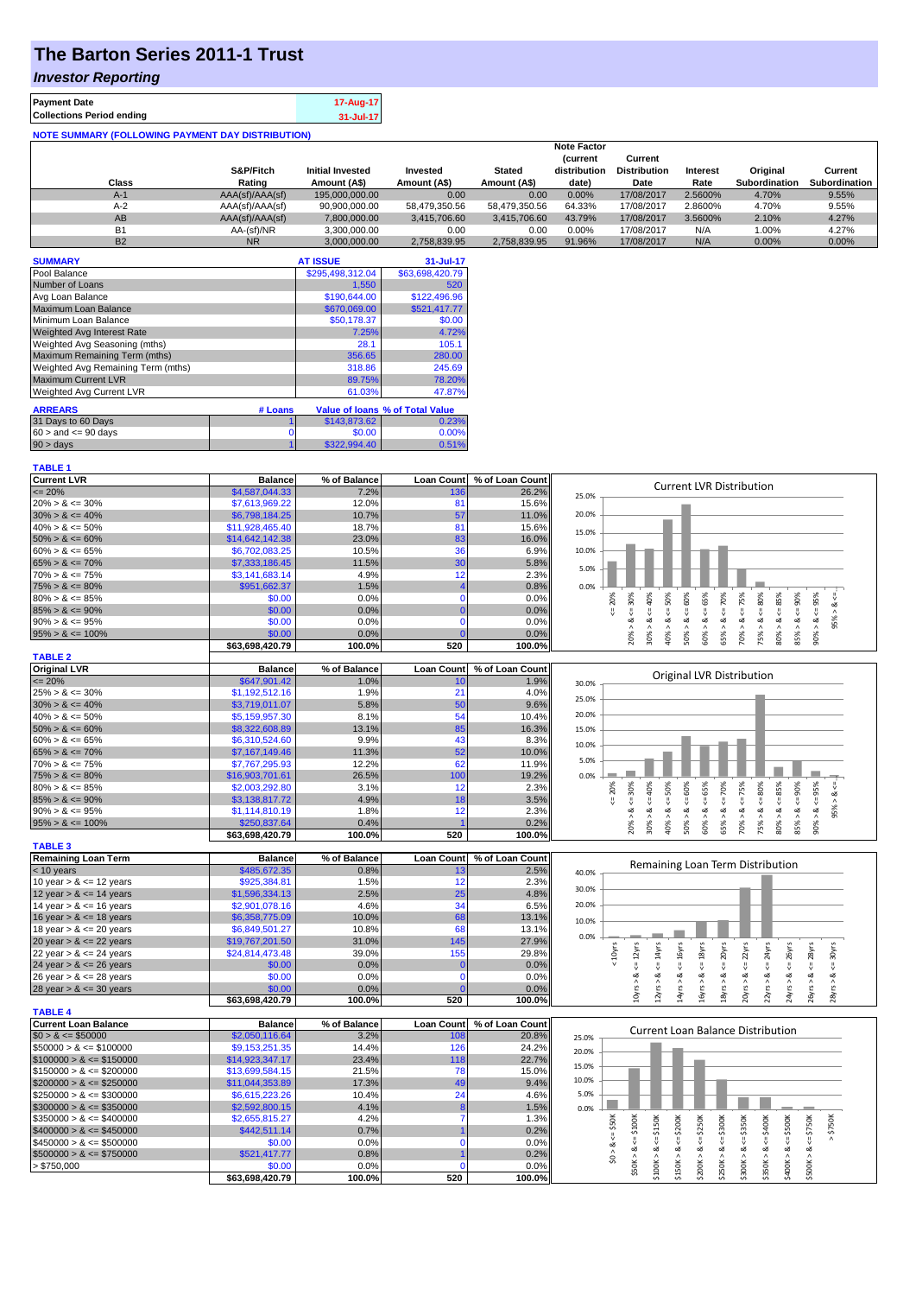# **The Barton Series 2011-1 Trust**

#### *Investor Reporting*

| <b>Payment Date</b>                                      | 17-Aug-17 |  |  |  |  |
|----------------------------------------------------------|-----------|--|--|--|--|
| <b>Collections Period ending</b>                         | 31-Jul-17 |  |  |  |  |
| <b>NOTE SUMMARY (FOLLOWING PAYMENT DAY DISTRIBUTION)</b> |           |  |  |  |  |

|           |                 |                         |               |               | <b>Note Factor</b> |                     |          |                      |                 |
|-----------|-----------------|-------------------------|---------------|---------------|--------------------|---------------------|----------|----------------------|-----------------|
|           |                 |                         |               |               | <b>Current</b>     | Current             |          |                      |                 |
|           | S&P/Fitch       | <b>Initial Invested</b> | Invested      | <b>Stated</b> | distribution       | <b>Distribution</b> | Interest | Original             | Current         |
| Class     | Rating          | Amount (A\$)            | Amount (A\$)  | Amount (A\$)  | date)              | Date                | Rate     | <b>Subordination</b> | Subordination I |
| $A-1$     | AAA(sf)/AAA(sf) | 195,000,000,00          | 0.00          | 0.00          | 0.00%              | 17/08/2017          | 2.5600%  | 4.70%                | 9.55%           |
| $A-2$     | AAA(sf)/AAA(sf) | 90,900,000.00           | 58.479.350.56 | 58.479.350.56 | 64.33%             | 17/08/2017          | 2.8600%  | 4.70%                | 9.55%           |
| AB        | AAA(sf)/AAA(sf) | 7.800.000.00            | 3.415.706.60  | 3.415.706.60  | 43.79%             | 17/08/2017          | 3.5600%  | 2.10%                | 4.27%           |
| <b>B1</b> | AA-(sf)/NR      | 3,300,000.00            | 0.00          | 0.00          | $0.00\%$           | 17/08/2017          | N/A      | 1.00%                | 4.27%           |
| <b>B2</b> | <b>NR</b>       | 3.000.000.00            | 2.758.839.95  | 2.758.839.95  | 91.96%             | 17/08/2017          | N/A      | 0.00%                | 0.00%           |

| <b>SUMMARY</b>                     |         | <b>AT ISSUE</b>  | 31-Jul-17                              |
|------------------------------------|---------|------------------|----------------------------------------|
| Pool Balance                       |         | \$295,498,312.04 | \$63,698,420.79                        |
| Number of Loans                    |         | 1.550            | 520                                    |
| Avg Loan Balance                   |         | \$190,644.00     | \$122,496.96                           |
| Maximum Loan Balance               |         | \$670,069.00     | \$521.417.77                           |
| Minimum Loan Balance               |         | \$50,178.37      | \$0.00                                 |
| <b>Weighted Avg Interest Rate</b>  |         | 7.25%            | 4.72%                                  |
| Weighted Avg Seasoning (mths)      |         | 28.1             | 105.1                                  |
| Maximum Remaining Term (mths)      |         | 356.65           | 280.00                                 |
| Weighted Avg Remaining Term (mths) |         | 318.86           | 245.69                                 |
| <b>Maximum Current LVR</b>         |         | 89.75%           | 78.20%                                 |
| Weighted Avg Current LVR           |         | 61.03%           | 47.87%                                 |
| <b>ARREARS</b>                     | # Loans |                  | <b>Value of loans % of Total Value</b> |

| <b>AINILAIN</b>           | $\pi$ Louis |              | Value of Ioans 70 of Total Value |
|---------------------------|-------------|--------------|----------------------------------|
| 31 Days to 60 Days        |             | \$143,873,62 | 23%                              |
| $60 >$ and $\leq 90$ days |             | \$0.00       | 0.00%                            |
| 90 > days                 |             | \$322,994.40 | 0.51%                            |
|                           |             |              |                                  |

| <b>TABLE 1</b>              |                           |                |                   |                 |                                                                                                                                                                                                                                                      |
|-----------------------------|---------------------------|----------------|-------------------|-----------------|------------------------------------------------------------------------------------------------------------------------------------------------------------------------------------------------------------------------------------------------------|
| <b>Current LVR</b>          | <b>Balance</b>            | % of Balance   | <b>Loan Count</b> | % of Loan Count |                                                                                                                                                                                                                                                      |
| $\leq$ 20%                  | \$4,587,044.33            | 7.2%           | 136               | 26.2%           | <b>Current LVR Distribution</b><br>25.0%                                                                                                                                                                                                             |
| $20\% > 8 \le 30\%$         | \$7,613,969.22            | 12.0%          | 81                | 15.6%           |                                                                                                                                                                                                                                                      |
| $30\% > 8 \le 40\%$         | \$6,798,184.25            | 10.7%          | 57                | 11.0%           | 20.0%                                                                                                                                                                                                                                                |
| $40\% > 8 \le 50\%$         | \$11,928,465.40           | 18.7%          | 81                | 15.6%           |                                                                                                                                                                                                                                                      |
| $50\% > 8 \le 60\%$         | \$14,642,142.38           | 23.0%          | 83                | 16.0%           | 15.0%                                                                                                                                                                                                                                                |
| $60\% > 8 \le 65\%$         | \$6,702,083.25            | 10.5%          | 36                | 6.9%            | 10.0%                                                                                                                                                                                                                                                |
| $65\% > 8 \le 70\%$         | \$7,333,186.45            | 11.5%          | 30                | 5.8%            |                                                                                                                                                                                                                                                      |
| $70\% > 8 \le 75\%$         | \$3,141,683.14            | 4.9%           | 12                | 2.3%            | 5.0%                                                                                                                                                                                                                                                 |
|                             | \$951,662.37              |                | $\overline{4}$    |                 | 0.0%                                                                                                                                                                                                                                                 |
| $75\% > 8 \le 80\%$         |                           | 1.5%           | $\Omega$          | 0.8%            |                                                                                                                                                                                                                                                      |
| $80\% > 8 \le 85\%$         | \$0.00                    | 0.0%           |                   | 0.0%            | 65%<br>$<=75%$<br>80%<br>$8 \le 30\%$<br>40%<br>50%<br>70%<br>85%<br>$<=90\%$<br>95%<br>20%                                                                                                                                                          |
| $85\% > 8 \le 90\%$         | \$0.00                    | 0.0%           | $\overline{0}$    | 0.0%            | 95% > 8.<br>8 < 1<br>8 <<br>8 < 1<br>$\<=$                                                                                                                                                                                                           |
| $90\% > 8 \le 95\%$         | \$0.00                    | 0.0%           | $\Omega$          | 0.0%            | ø                                                                                                                                                                                                                                                    |
| $95\% > 8 \le 100\%$        | \$0.00                    | 0.0%           | $\sqrt{ }$        | 0.0%            | $50\% > 8 \leq 60\%$<br>$90\% > 8 <=$<br>$75% > 8 < \le$<br>70% ><br>40% ><br>60% ><br>65% ><br>$80\%$ $>$<br>$85\%$ $>$<br>20% ><br>30% >                                                                                                           |
|                             | \$63,698,420.79           | 100.0%         | 520               | 100.0%          |                                                                                                                                                                                                                                                      |
| <b>TABLE 2</b>              |                           |                |                   |                 |                                                                                                                                                                                                                                                      |
| <b>Original LVR</b>         | <b>Balance</b>            | % of Balance   | <b>Loan Count</b> | % of Loan Count |                                                                                                                                                                                                                                                      |
| $= 20%$                     | \$647,901.42              | 1.0%           | 10                | 1.9%            | Original LVR Distribution<br>30.0%                                                                                                                                                                                                                   |
| $25\% > 8 \le 30\%$         | \$1,192,512.16            | 1.9%           | 21                | 4.0%            |                                                                                                                                                                                                                                                      |
| $30\% > 8 \le 40\%$         | \$3,719,011.07            | 5.8%           | 50                | 9.6%            | 25.0%                                                                                                                                                                                                                                                |
| $40\% > 8 \le 50\%$         | \$5,159,957.30            | 8.1%           | 54                | 10.4%           | 20.0%                                                                                                                                                                                                                                                |
| $50\% > 8 \le 60\%$         | \$8,322,608.89            | 13.1%          | 85                | 16.3%           | 15.0%                                                                                                                                                                                                                                                |
| $60\% > 8 \le 65\%$         | \$6,310,524.60            | 9.9%           | 43                | 8.3%            |                                                                                                                                                                                                                                                      |
| $65\% > 8 \le 70\%$         | \$7,167,149.46            | 11.3%          | 52                | 10.0%           | 10.0%                                                                                                                                                                                                                                                |
| $70\% > 8 \le 75\%$         | \$7,767,295.93            | 12.2%          | 62                | 11.9%           | 5.0%                                                                                                                                                                                                                                                 |
| $75\% > 8 \le 80\%$         | \$16,903,701.61           | 26.5%          | 100               | 19.2%           | 0.0%                                                                                                                                                                                                                                                 |
| $80\% > 8 \le 85\%$         | \$2,003,292.80            | 3.1%           | 12                | 2.3%            | ₩                                                                                                                                                                                                                                                    |
| $85\% > 8 \le 90\%$         | \$3,138,817.72            | 4.9%           | 18                | 3.5%            | $4 = 30\%$<br>20%<br>$40\%$                                                                                                                                                                                                                          |
| $90\% > 8 \le 95\%$         | \$1,114,810.19            | 1.8%           | 12                | 2.3%            | $85% > 8 < = 90%$<br>$90\% > 8 <= 95\%$<br>$<=60\%$<br>$8 \le 65\%$<br>$8 \le 75\%$<br>$8 - 80%$<br>$8 \le 85\%$<br>$<=50\%$<br>$8 <= 70\%$<br>95% > 8.<br>쁬<br>ಷ<br>ಹ                                                                               |
|                             |                           |                |                   |                 |                                                                                                                                                                                                                                                      |
| $95\% > 8 \le 100\%$        | \$250,837.64              | 0.4%<br>100.0% | 520               | 0.2%<br>100.0%  | 75% ><br>20% ><br>30% ><br>$40\%$ $>$<br>50% ><br>60% ><br>65% ><br>70% ><br>$80\%$ $>$                                                                                                                                                              |
|                             | \$63,698,420.79           |                |                   |                 |                                                                                                                                                                                                                                                      |
|                             |                           |                |                   |                 |                                                                                                                                                                                                                                                      |
| <b>TABLE 3</b>              |                           |                |                   |                 |                                                                                                                                                                                                                                                      |
| <b>Remaining Loan Term</b>  | <b>Balance</b>            | % of Balance   | <b>Loan Count</b> | % of Loan Count |                                                                                                                                                                                                                                                      |
| < 10 years                  | \$485,672.35              | 0.8%           | 13                | 2.5%            | Remaining Loan Term Distribution<br>40.0%                                                                                                                                                                                                            |
| 10 year $> 8 \le 12$ years  | \$925,384.81              | 1.5%           | 12                | 2.3%            |                                                                                                                                                                                                                                                      |
| 12 year $> 8 \le 14$ years  | \$1,596,334.13            | 2.5%           | 25                | 4.8%            | 30.0%                                                                                                                                                                                                                                                |
| 14 year $> 8 \le 16$ years  | \$2,901,078.16            | 4.6%           | 34                | 6.5%            | 20.0%                                                                                                                                                                                                                                                |
| 16 year $> 8 \le 18$ years  | \$6,358,775.09            | 10.0%          | 68                | 13.1%           | 10.0%                                                                                                                                                                                                                                                |
| 18 year $> 8 \le 20$ years  | \$6,849,501.27            | 10.8%          | 68                | 13.1%           |                                                                                                                                                                                                                                                      |
| 20 year $> 8 \le 22$ years  | \$19,767,201.50           | 31.0%          | 145               | 27.9%           | 0.0%                                                                                                                                                                                                                                                 |
| 22 year $> 8 \le 24$ years  | \$24,814,473.48           | 39.0%          | 155               | 29.8%           |                                                                                                                                                                                                                                                      |
|                             | \$0.00                    | 0.0%           | C                 | 0.0%            | < 10yrs                                                                                                                                                                                                                                              |
| 24 year $> 8 \le 26$ years  | \$0.00                    | 0.0%           | $\mathbf{0}$      | 0.0%            | $\leq 16$ yrs<br>$\leq 18$ yrs<br>$\epsilon$ = 22 $\gamma$ rs<br>$\epsilon$ = 28 $\gamma$ rs<br>$\leq 14$ yrs<br>$\epsilon$ = 24yrs<br>$\epsilon$ = 26yrs<br>$\leq$ 30 $\gamma$ rs                                                                   |
| 26 year $> 8 \le 28$ years  |                           |                | C                 |                 |                                                                                                                                                                                                                                                      |
| 28 year $> 8 \le 30$ years  | \$0.00                    | 0.0%           |                   | 0.0%            | $10yrs > 8 \le 12yrs$<br>$18yrs > 8 \le 20yrs$<br>26yrs > 8<br>$14$ yrs > & -<br>16yrs > 8.<br>20yrs > 8<br>22yrs > 8<br>24yrs > 8<br>28yrs > 8                                                                                                      |
|                             | \$63,698,420.79           | 100.0%         | 520               | 100.0%          | $12 \gamma$ rs > & -                                                                                                                                                                                                                                 |
| <b>TABLE 4</b>              |                           |                |                   |                 |                                                                                                                                                                                                                                                      |
| <b>Current Loan Balance</b> | <b>Balance</b>            | % of Balance   | <b>Loan Count</b> | % of Loan Count | <b>Current Loan Balance Distribution</b>                                                                                                                                                                                                             |
| $$0 > 8 \le $50000$         | \$2,050,116.64            | 3.2%           | 108               | 20.8%           | 25.0%                                                                                                                                                                                                                                                |
| $$50000 > 8 \leq $100000$   | \$9,153,251.35            | 14.4%          | 126               | 24.2%           | 20.0%                                                                                                                                                                                                                                                |
| $$100000 > 8 \le $150000$   | \$14,923,347.17           | 23.4%          | 118               | 22.7%           | 15.0%                                                                                                                                                                                                                                                |
| $$150000 > 8 \leq $200000$  | \$13,699,584.15           | 21.5%          | 78                | 15.0%           |                                                                                                                                                                                                                                                      |
| $$200000 > 8 \leq $250000$  | \$11,044,353.89           | 17.3%          | 49                | 9.4%            | 10.0%                                                                                                                                                                                                                                                |
| $$250000 > 8 \le $300000$   | \$6,615,223.26            | 10.4%          | 24                | 4.6%            | 5.0%                                                                                                                                                                                                                                                 |
| $$300000 > 8 \leq $350000$  | \$2,592,800.15            | 4.1%           | $\overline{8}$    | 1.5%            | 0.0%                                                                                                                                                                                                                                                 |
| $$350000 > 8 \leq $400000$  | \$2,655,815.27            | 4.2%           | 7                 | 1.3%            |                                                                                                                                                                                                                                                      |
| $$400000 > 8 \leq $450000$  | \$442,511.14              | 0.7%           |                   | 0.2%            |                                                                                                                                                                                                                                                      |
| $$450000 > 8 \leq $500000$  | \$0.00                    | 0.0%           | $\mathbf{0}$      | 0.0%            | $>$ \$750K                                                                                                                                                                                                                                           |
| $$500000 > 8 \le $750000$   | \$521,417.77              | 0.8%           |                   | 0.2%            |                                                                                                                                                                                                                                                      |
| > \$750,000                 | \$0.00<br>\$63,698,420.79 | 0.0%<br>100.0% | $\sqrt{ }$<br>520 | 0.0%<br>100.0%  | $$0 > 8 < = $50$ K<br>$$50K > 8 \le 5100K$<br>$$100K > 8 \leq 5150K$<br>$$150K > 8 \le = $200K$<br>$$200K > 8 \leq 5250K$<br>$$250K > 8 \le = $300K$<br>$$300K > < = $350K$<br>$$350K > 8 \le 5400K$<br>$$400K > 8 <= $500K$<br>$$500K > 8 <= $750K$ |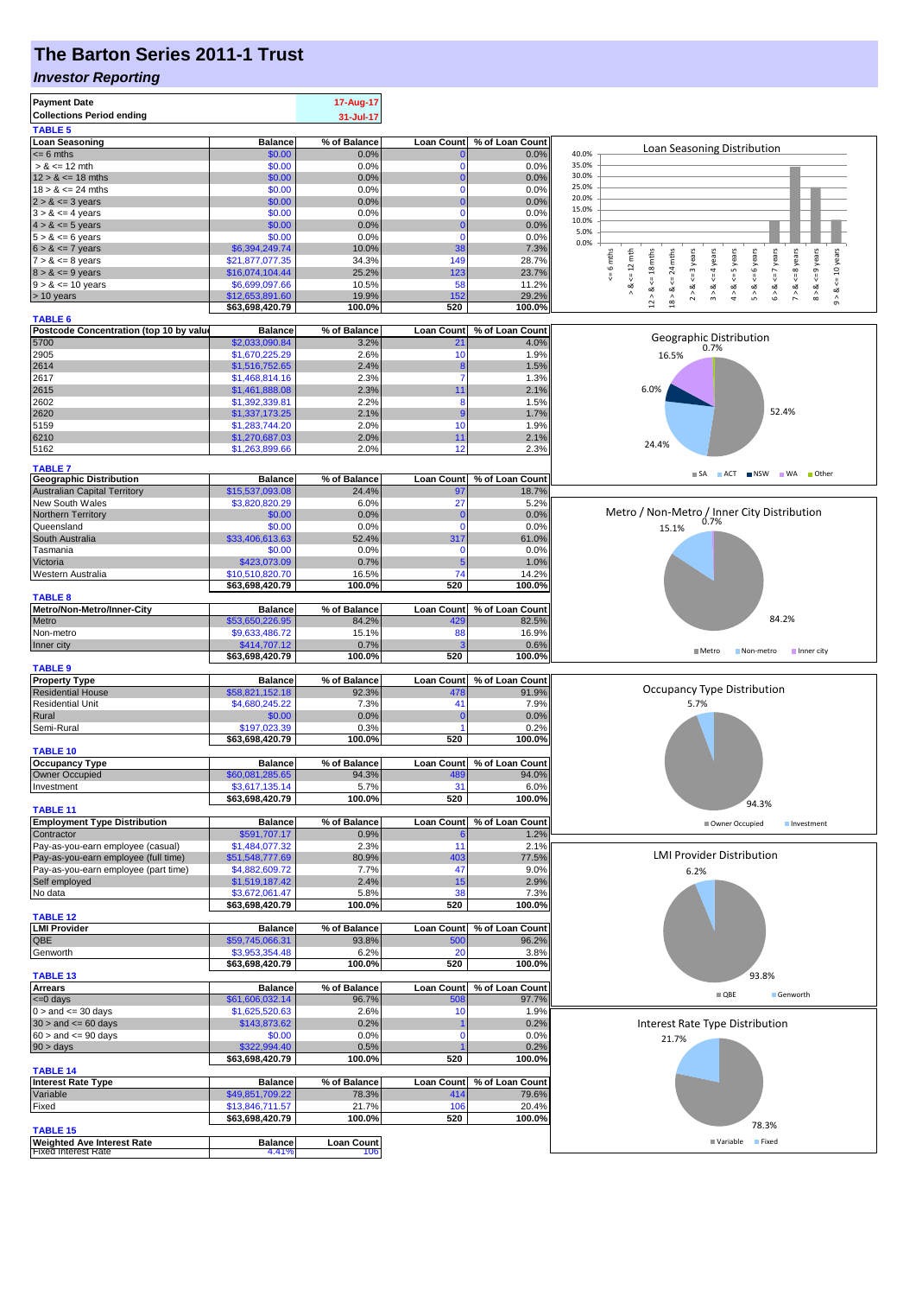## **The Barton Series 2011-1 Trust**

### *Investor Reporting*

| <b>Payment Date</b>                              |                                   | 17-Aug-17         |                             |                              |                                                                                                                                                                |
|--------------------------------------------------|-----------------------------------|-------------------|-----------------------------|------------------------------|----------------------------------------------------------------------------------------------------------------------------------------------------------------|
| <b>Collections Period ending</b>                 |                                   | 31-Jul-17         |                             |                              |                                                                                                                                                                |
| <b>TABLE 5</b>                                   |                                   |                   |                             |                              |                                                                                                                                                                |
| <b>Loan Seasoning</b>                            | <b>Balance</b>                    | % of Balance      | <b>Loan Count</b>           | % of Loan Count              | Loan Seasoning Distribution                                                                                                                                    |
| $= 6$ mths                                       | \$0.00                            | 0.0%              | $\mathbf{0}$                | 0.0%                         | 40.0%                                                                                                                                                          |
| $> 8 \le 12$ mth                                 | \$0.00                            | 0.0%              | $\mathbf 0$                 | 0.0%                         | 35.0%<br>30.0%                                                                                                                                                 |
| $12 > 8 \le 18$ mths                             | \$0.00                            | 0.0%              | $\mathbf{0}$                | 0.0%                         | 25.0%                                                                                                                                                          |
| $18 > 8 \le 24$ mths                             | \$0.00<br>\$0.00                  | 0.0%<br>0.0%      | $\mathbf 0$<br>$\mathbf{0}$ | 0.0%<br>0.0%                 | 20.0%                                                                                                                                                          |
| $2 > 8 \le 3$ years<br>$3 > 8 \le 4$ years       | \$0.00                            | 0.0%              | $\mathbf 0$                 | 0.0%                         | 15.0%                                                                                                                                                          |
| $4 > 8 \le 5$ years                              | \$0.00                            | 0.0%              | $\Omega$                    | 0.0%                         | 10.0%                                                                                                                                                          |
| $5 > 8 \le 6$ years                              | \$0.00                            | 0.0%              | $\mathbf{0}$                | 0.0%                         | 5.0%                                                                                                                                                           |
| $6 > 8 \le 7$ years                              | \$6,394,249.74                    | 10.0%             | 38                          | 7.3%                         | 0.0%                                                                                                                                                           |
| $7 > 8 \le 8$ years                              | \$21,877,077.35                   | 34.3%             | 149                         | 28.7%                        | $\leq$ 8 years<br>$\Leftarrow$ 12 mth<br>$\leq 6$ years<br>$\leq$ 9 years<br>$x = 6$ mths<br>18 mths<br>24 mths<br>$\leq$ = 3 years<br>$\leq 4$ years<br>years |
| $8 > 8 \le 9$ years                              | \$16,074,104.44                   | 25.2%             | 123                         | 23.7%                        | $\leq$ = 7                                                                                                                                                     |
| $9 > 8 \le 10$ years                             | \$6,699,097.66                    | 10.5%             | 58                          | 11.2%                        | $4 > 8 < = 5$ years<br>$<=10$ years<br>₩<br>V<br>ಷ<br>৺<br>ಹ<br>œ<br>ಂಶ<br>$\propto$                                                                           |
| > 10 years                                       | \$12,653,891.60                   | 19.9%             | 152                         | 29.2%                        | 2 > 8<br>5 > 8<br>$12 > 8$ .<br>$\stackrel{\wedge}{\scriptstyle\pi}$<br>$\hat{\circ}$<br>$\hat{z}$<br>$\stackrel{\wedge}{\circ}$<br>18 ><br>$\hat{0}$          |
|                                                  | \$63,698,420.79                   | 100.0%            | 520                         | 100.0%                       |                                                                                                                                                                |
| <b>TABLE 6</b>                                   |                                   |                   |                             |                              |                                                                                                                                                                |
| Postcode Concentration (top 10 by value          | <b>Balance</b>                    | % of Balance      | <b>Loan Count</b>           | % of Loan Count              | Geographic Distribution                                                                                                                                        |
| 5700                                             | \$2,033,090.84                    | 3.2%              | 21                          | 4.0%                         | 0.7%                                                                                                                                                           |
| 2905<br>2614                                     | \$1,670,225.29<br>\$1,516,752.65  | 2.6%<br>2.4%      | 10                          | 1.9%                         | 16.5%                                                                                                                                                          |
| 2617                                             | \$1,468,814.16                    | 2.3%              | 8<br>$\overline{7}$         | 1.5%<br>1.3%                 |                                                                                                                                                                |
| 2615                                             | \$1,461,888.08                    | 2.3%              | 11                          | 2.1%                         | 6.0%                                                                                                                                                           |
| 2602                                             | \$1,392,339.81                    | 2.2%              | 8                           | 1.5%                         |                                                                                                                                                                |
| 2620                                             | \$1,337,173.25                    | 2.1%              | 9                           | 1.7%                         | 52.4%                                                                                                                                                          |
| 5159                                             | \$1,283,744.20                    | 2.0%              | 10                          | 1.9%                         |                                                                                                                                                                |
| 6210                                             | \$1,270,687.03                    | 2.0%              | 11                          | 2.1%                         |                                                                                                                                                                |
| 5162                                             | \$1,263,899.66                    | 2.0%              | 12                          | 2.3%                         | 24.4%                                                                                                                                                          |
|                                                  |                                   |                   |                             |                              |                                                                                                                                                                |
| <b>TABLE 7</b><br><b>Geographic Distribution</b> | <b>Balance</b>                    | % of Balance      | <b>Loan Count</b>           | % of Loan Count              | SA ACT NSW WA Other                                                                                                                                            |
| <b>Australian Capital Territory</b>              | \$15,537,093.08                   | 24.4%             | 97                          | 18.7%                        |                                                                                                                                                                |
| New South Wales                                  | \$3,820,820.29                    | 6.0%              | 27                          | 5.2%                         |                                                                                                                                                                |
| Northern Territory                               | \$0.00                            | 0.0%              | $\mathbf{0}$                | 0.0%                         | Metro / Non-Metro / Inner City Distribution                                                                                                                    |
| Queensland                                       | \$0.00                            | 0.0%              | $\Omega$                    | 0.0%                         | 0.7%<br>15.1%                                                                                                                                                  |
| South Australia                                  | \$33,406,613.63                   | 52.4%             | 317                         | 61.0%                        |                                                                                                                                                                |
| Tasmania                                         | \$0.00                            | 0.0%              | $\Omega$                    | 0.0%                         |                                                                                                                                                                |
| Victoria                                         | \$423,073.09                      | 0.7%              | 5                           | 1.0%                         |                                                                                                                                                                |
| Western Australia                                | \$10,510,820.70                   | 16.5%             | 74                          | 14.2%                        |                                                                                                                                                                |
|                                                  | \$63,698,420.79                   | 100.0%            | 520                         | 100.0%                       |                                                                                                                                                                |
| <b>TABLE 8</b>                                   |                                   |                   |                             |                              |                                                                                                                                                                |
| Metro/Non-Metro/Inner-City                       | <b>Balance</b>                    | % of Balance      | <b>Loan Count</b>           | % of Loan Count              |                                                                                                                                                                |
| Metro                                            | \$53,650,226.95                   | 84.2%             | 429                         | 82.5%                        | 84.2%                                                                                                                                                          |
| Non-metro                                        | \$9,633,486.72                    | 15.1%             | 88                          | 16.9%                        |                                                                                                                                                                |
| Inner city                                       | \$414,707.12                      | 0.7%              |                             | 0.6%                         | ■ Metro<br>Non-metro<br>Inner city                                                                                                                             |
|                                                  | \$63,698,420.79                   | 100.0%            | 520                         | 100.0%                       |                                                                                                                                                                |
| <b>TABLE 9</b>                                   |                                   |                   |                             |                              |                                                                                                                                                                |
| <b>Property Type</b>                             | <b>Balance</b>                    | % of Balance      | <b>Loan Count</b>           | % of Loan Count              | <b>Occupancy Type Distribution</b>                                                                                                                             |
| <b>Residential House</b>                         | \$58,821,152.18<br>\$4,680,245.22 | 92.3%<br>7.3%     | 478<br>41                   | 91.9%                        | 5.7%                                                                                                                                                           |
| <b>Residential Unit</b><br>Rural                 |                                   | 0.0%              | O                           | 7.9%<br>0.0%                 |                                                                                                                                                                |
| Semi-Rural                                       | \$0.00<br>\$197,023.39            | 0.3%              | ۶                           | 0.2%                         |                                                                                                                                                                |
|                                                  | \$63,698,420.79                   | 100.0%            | 520                         | 100.0%                       |                                                                                                                                                                |
| <b>TABLE 10</b>                                  |                                   |                   |                             |                              |                                                                                                                                                                |
| <b>Occupancy Type</b>                            | <b>Balance</b>                    | % of Balance      |                             | Loan Count   % of Loan Count |                                                                                                                                                                |
| <b>Owner Occupied</b>                            | \$60,081,285.65                   | 94.3%             | 489                         | 94.0%                        |                                                                                                                                                                |
| Investment                                       | \$3,617,135.14                    | 5.7%              | 31                          | $6.0\%$                      |                                                                                                                                                                |
|                                                  | \$63,698,420.79                   | 100.0%            | 520                         | 100.0%                       | 94.3%                                                                                                                                                          |
| <b>TABLE 11</b>                                  |                                   |                   |                             |                              |                                                                                                                                                                |
| <b>Employment Type Distribution</b>              | <b>Balance</b>                    | % of Balance      | <b>Loan Count</b>           | % of Loan Count              | Owner Occupied<br>Investment                                                                                                                                   |
| Contractor                                       | \$591,707.17                      | 0.9%              |                             | 1.2%                         |                                                                                                                                                                |
| Pay-as-you-earn employee (casual)                | \$1,484,077.32                    | 2.3%              | 11                          | 2.1%                         | <b>LMI Provider Distribution</b>                                                                                                                               |
| Pay-as-you-earn employee (full time)             | \$51,548,777.69                   | 80.9%             | 403                         | 77.5%                        |                                                                                                                                                                |
| Pay-as-you-earn employee (part time)             | \$4,882,609.72                    | 7.7%              | 47                          | 9.0%                         | 6.2%                                                                                                                                                           |
| Self employed                                    | \$1,519,187.42                    | 2.4%              | 15<br>38                    | 2.9%                         |                                                                                                                                                                |
| No data                                          | \$3,672,061.47<br>\$63,698,420.79 | 5.8%<br>100.0%    | 520                         | 7.3%<br>100.0%               |                                                                                                                                                                |
| <b>TABLE 12</b>                                  |                                   |                   |                             |                              |                                                                                                                                                                |
| <b>LMI Provider</b>                              | <b>Balance</b>                    | % of Balance      |                             | Loan Count % of Loan Count   |                                                                                                                                                                |
| QBE                                              | \$59,745,066.31                   | 93.8%             | 500                         | 96.2%                        |                                                                                                                                                                |
| Genworth                                         | \$3,953,354.48                    | 6.2%              | 20                          | 3.8%                         |                                                                                                                                                                |
|                                                  | \$63,698,420.79                   | 100.0%            | 520                         | 100.0%                       |                                                                                                                                                                |
| <b>TABLE 13</b>                                  |                                   |                   |                             |                              | 93.8%                                                                                                                                                          |
| <b>Arrears</b>                                   | <b>Balance</b>                    | % of Balance      | <b>Loan Count</b>           | % of Loan Count              |                                                                                                                                                                |
| $= 0$ days                                       | \$61,606,032.14                   | 96.7%             | 508                         | 97.7%                        | $\blacksquare$ QBE<br>Genworth                                                                                                                                 |
| $0 >$ and $\leq$ 30 days                         | \$1,625,520.63                    | 2.6%              | 10                          | 1.9%                         |                                                                                                                                                                |
| $30 >$ and $\leq 60$ days                        | \$143,873.62                      | 0.2%              |                             | 0.2%                         | Interest Rate Type Distribution                                                                                                                                |
| $60 >$ and $\leq 90$ days                        | \$0.00                            | 0.0%              | C                           | 0.0%                         | 21.7%                                                                                                                                                          |
| 90 > days                                        | \$322,994.40                      | 0.5%              |                             | 0.2%                         |                                                                                                                                                                |
|                                                  | \$63,698,420.79                   | 100.0%            | 520                         | 100.0%                       |                                                                                                                                                                |
| <b>TABLE 14</b>                                  |                                   |                   |                             |                              |                                                                                                                                                                |
| <b>Interest Rate Type</b>                        | <b>Balance</b>                    | % of Balance      |                             | Loan Count % of Loan Count   |                                                                                                                                                                |
| Variable                                         | \$49,851,709.22                   | 78.3%             | 414                         | 79.6%                        |                                                                                                                                                                |
| Fixed                                            | \$13,846,711.57                   | 21.7%<br>100.0%   | 106<br>520                  | 20.4%                        |                                                                                                                                                                |
| <b>TABLE 15</b>                                  | \$63,698,420.79                   |                   |                             | 100.0%                       | 78.3%                                                                                                                                                          |
| <b>Weighted Ave Interest Rate</b>                | <b>Balance</b>                    | <b>Loan Count</b> |                             |                              | Variable Fixed                                                                                                                                                 |
|                                                  |                                   |                   |                             |                              |                                                                                                                                                                |